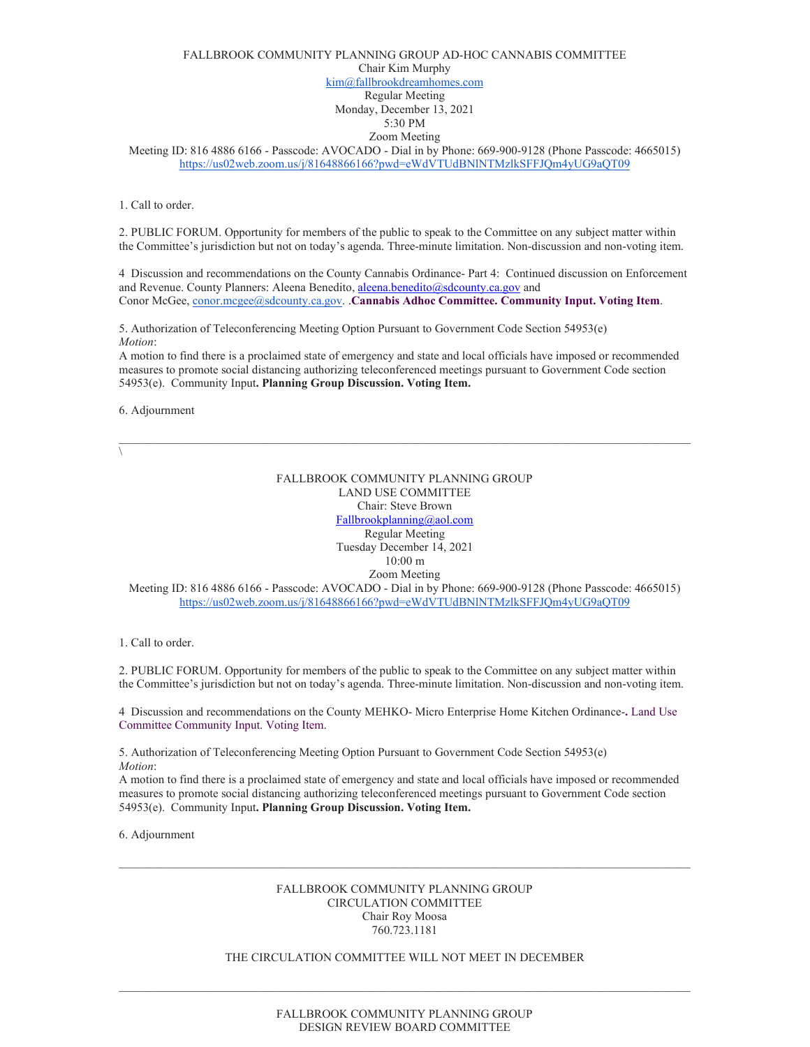# FALLBROOK COMMUNITY PLANNING GROUP AD-HOC CANNABIS COMMITTEE Chair Kim Murphy [kim@fallbrookdreamhomes.com](mailto:kim@fallbrookdreamhomes.com) Regular Meeting Monday, December 13, 2021 5:30 PM Zoom Meeting

Meeting ID: 816 4886 6166 - Passcode: AVOCADO - Dial in by Phone: 669-900-9128 (Phone Passcode: 4665015) <https://us02web.zoom.us/j/81648866166?pwd=eWdVTUdBNlNTMzlkSFFJQm4yUG9aQT09>

1. Call to order.

2. PUBLIC FORUM. Opportunity for members of the public to speak to the Committee on any subject matter within the Committee's jurisdiction but not on today's agenda. Three-minute limitation. Non-discussion and non-voting item.

4 Discussion and recommendations on the County Cannabis Ordinance- Part 4: Continued discussion on Enforcement and Revenue. County Planners: Aleena Benedito, [aleena.benedito@sdcounty.ca.gov](mailto:aleena.benedito@sdcounty.ca.gov) and Conor McGee, [conor.mcgee@sdcounty.ca.gov.](mailto:conor.mcgee@sdcounty.ca.gov) .**Cannabis Adhoc Committee. Community Input. Voting Item**.

5. Authorization of Teleconferencing Meeting Option Pursuant to Government Code Section 54953(e) *Motion*:

A motion to find there is a proclaimed state of emergency and state and local officials have imposed or recommended measures to promote social distancing authorizing teleconferenced meetings pursuant to Government Code section 54953(e). Community Input**. Planning Group Discussion. Voting Item.** 

6. Adjournment

 $\sqrt{2}$ 

FALLBROOK COMMUNITY PLANNING GROUP LAND USE COMMITTEE Chair: Steve Brown [Fallbrookplanning@aol.com](mailto:Fallbrookplanning@aol.com) Regular Meeting Tuesday December 14, 2021 10:00 m Zoom Meeting Meeting ID: 816 4886 6166 - Passcode: AVOCADO - Dial in by Phone: 669-900-9128 (Phone Passcode: 4665015)

<https://us02web.zoom.us/j/81648866166?pwd=eWdVTUdBNlNTMzlkSFFJQm4yUG9aQT09>

1. Call to order.

2. PUBLIC FORUM. Opportunity for members of the public to speak to the Committee on any subject matter within the Committee's jurisdiction but not on today's agenda. Three-minute limitation. Non-discussion and non-voting item.

4 Discussion and recommendations on the County MEHKO- Micro Enterprise Home Kitchen Ordinance-**.** Land Use Committee Community Input. Voting Item.

5. Authorization of Teleconferencing Meeting Option Pursuant to Government Code Section 54953(e) *Motion*:

A motion to find there is a proclaimed state of emergency and state and local officials have imposed or recommended measures to promote social distancing authorizing teleconferenced meetings pursuant to Government Code section 54953(e). Community Input**. Planning Group Discussion. Voting Item.** 

6. Adjournment

# FALLBROOK COMMUNITY PLANNING GROUP CIRCULATION COMMITTEE Chair Roy Moosa 760.723.1181

 $\_$  , and the set of the set of the set of the set of the set of the set of the set of the set of the set of the set of the set of the set of the set of the set of the set of the set of the set of the set of the set of th

# THE CIRCULATION COMMITTEE WILL NOT MEET IN DECEMBER